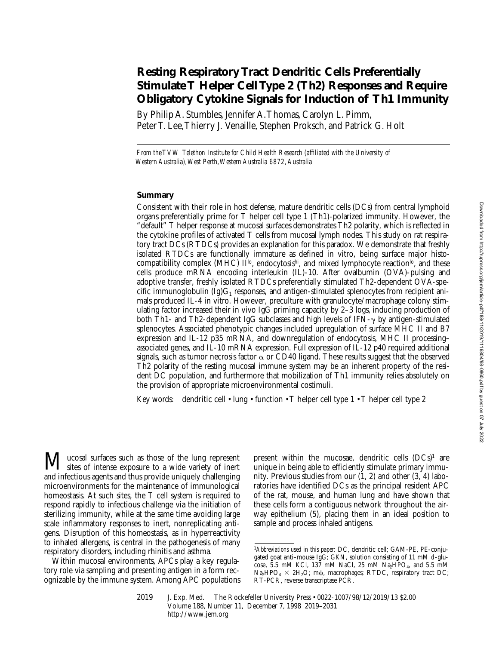# **Resting Respiratory Tract Dendritic Cells Preferentially Stimulate T Helper Cell Type 2 (Th2) Responses and Require Obligatory Cytokine Signals for Induction of Th1 Immunity**

By Philip A. Stumbles, Jennifer A. Thomas, Carolyn L. Pimm, Peter T. Lee, Thierry J. Venaille, Stephen Proksch, and Patrick G. Holt

*From the TVW Telethon Institute for Child Health Research (affiliated with the University of Western Australia), West Perth, Western Australia 6872, Australia*

### **Summary**

Consistent with their role in host defense, mature dendritic cells (DCs) from central lymphoid organs preferentially prime for T helper cell type 1 (Th1)-polarized immunity. However, the "default" T helper response at mucosal surfaces demonstrates Th2 polarity, which is reflected in the cytokine profiles of activated T cells from mucosal lymph nodes. This study on rat respiratory tract DCs (RTDCs) provides an explanation for this paradox. We demonstrate that freshly isolated RTDCs are functionally immature as defined in vitro, being surface major histocompatibility complex (MHC)  $II^{lo}$ , endocytosis<sup>hi</sup>, and mixed lymphocyte reaction<sup>lo</sup>, and these cells produce mRNA encoding interleukin (IL)-10. After ovalbumin (OVA)-pulsing and adoptive transfer, freshly isolated RTDCs preferentially stimulated Th2-dependent OVA-specific immunoglobulin  $(Ig)G_1$  responses, and antigen-stimulated splenocytes from recipient animals produced IL-4 in vitro. However, preculture with granulocyte/macrophage colony stimulating factor increased their in vivo IgG priming capacity by 2–3 logs, inducing production of both Th1- and Th2-dependent IgG subclasses and high levels of IFN- $\gamma$  by antigen-stimulated splenocytes. Associated phenotypic changes included upregulation of surface MHC II and B7 expression and IL-12 p35 mRNA, and downregulation of endocytosis, MHC II processing– associated genes, and IL-10 mRNA expression. Full expression of IL-12 p40 required additional signals, such as tumor necrosis factor  $\alpha$  or CD40 ligand. These results suggest that the observed Th2 polarity of the resting mucosal immune system may be an inherent property of the resident DC population, and furthermore that mobilization of Th1 immunity relies absolutely on the provision of appropriate microenvironmental costimuli.

Key words: dendritic cell • lung • function • T helper cell type 1 • T helper cell type 2

**M** ucosal surfaces such as those of the lung represent<br>sites of intense exposure to a wide variety of inert and infectious agents and thus provide uniquely challenging microenvironments for the maintenance of immunological homeostasis. At such sites, the T cell system is required to respond rapidly to infectious challenge via the initiation of sterilizing immunity, while at the same time avoiding large scale inflammatory responses to inert, nonreplicating antigens. Disruption of this homeostasis, as in hyperreactivity to inhaled allergens, is central in the pathogenesis of many respiratory disorders, including rhinitis and asthma.

Within mucosal environments, APCs play a key regulatory role via sampling and presenting antigen in a form recognizable by the immune system. Among APC populations

present within the mucosae, dendritic cells  $(DCs)^1$  are unique in being able to efficiently stimulate primary immunity. Previous studies from our (1, 2) and other (3, 4) laboratories have identified DCs as the principal resident APC of the rat, mouse, and human lung and have shown that these cells form a contiguous network throughout the airway epithelium (5), placing them in an ideal position to sample and process inhaled antigens.

<sup>1</sup>*Abbreviations used in this paper:* DC, dendritic cell; GAM-PE, PE-conjugated goat anti–mouse IgG; GKN, solution consisting of 11 mM d-glucose, 5.5 mM KCl, 137 mM NaCl, 25 mM Na<sub>2</sub>HPO<sub>4</sub>, and 5.5 mM  $\text{Na}_2\text{HPO}_4 \times 2\text{H}_2\text{O}$ ; m $\varphi$ , macrophages; RTDC, respiratory tract DC; RT-PCR, reverse transcriptase PCR.

<sup>2019</sup> J. Exp. Med. The Rockefeller University Press • 0022-1007/98/12/2019/13 \$2.00 Volume 188, Number 11, December 7, 1998 2019–2031 http://www.jem.org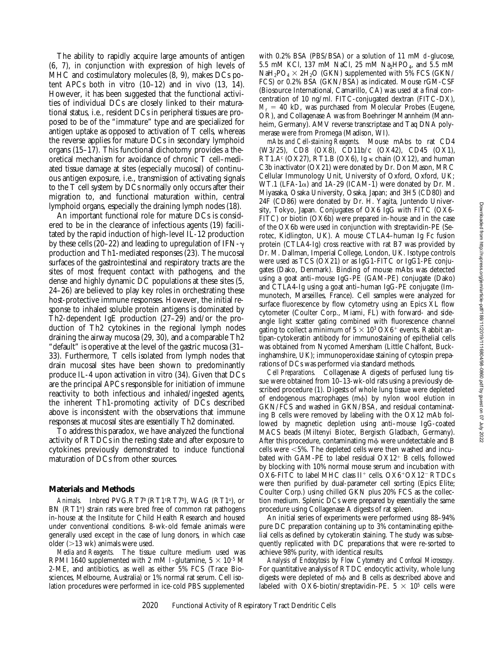The ability to rapidly acquire large amounts of antigen (6, 7), in conjunction with expression of high levels of MHC and costimulatory molecules (8, 9), makes DCs potent APCs both in vitro  $(10-12)$  and in vivo  $(13, 14)$ . However, it has been suggested that the functional activities of individual DCs are closely linked to their maturational status, i.e., resident DCs in peripheral tissues are proposed to be of the "immature" type and are specialized for antigen uptake as opposed to activation of T cells, whereas the reverse applies for mature DCs in secondary lymphoid organs (15–17). This functional dichotomy provides a theoretical mechanism for avoidance of chronic T cell–mediated tissue damage at sites (especially mucosal) of continuous antigen exposure, i.e., transmission of activating signals to the T cell system by DCs normally only occurs after their migration to, and functional maturation within, central lymphoid organs, especially the draining lymph nodes (18).

An important functional role for mature DCs is considered to be in the clearance of infectious agents (19) facilitated by the rapid induction of high-level IL-12 production by these cells (20–22) and leading to upregulation of IFN- $\gamma$ production and Th1-mediated responses (23). The mucosal surfaces of the gastrointestinal and respiratory tracts are the sites of most frequent contact with pathogens, and the dense and highly dynamic DC populations at these sites (5, 24–26) are believed to play key roles in orchestrating these host-protective immune responses. However, the initial response to inhaled soluble protein antigens is dominated by Th2-dependent IgE production (27–29) and/or the production of Th2 cytokines in the regional lymph nodes draining the airway mucosa (29, 30), and a comparable Th2 "default" is operative at the level of the gastric mucosa (31– 33). Furthermore, T cells isolated from lymph nodes that drain mucosal sites have been shown to predominantly produce IL-4 upon activation in vitro (34). Given that DCs are the principal APCs responsible for initiation of immune reactivity to both infectious and inhaled/ingested agents, the inherent Th1-promoting activity of DCs described above is inconsistent with the observations that immune responses at mucosal sites are essentially Th2 dominated.

To address this paradox, we have analyzed the functional activity of RTDCs in the resting state and after exposure to cytokines previously demonstrated to induce functional maturation of DCs from other sources.

#### **Materials and Methods**

Animals. Inbred PVG.RT7<sup>b</sup> (RT1<sup>c</sup>RT7<sup>b</sup>), WAG (RT1<sup>u</sup>), or BN (RT1<sup>n</sup>) strain rats were bred free of common rat pathogens in-house at the Institute for Child Health Research and housed under conventional conditions. 8-wk-old female animals were generally used except in the case of lung donors, in which case older  $(>13 \text{ wk})$  animals were used.

*Media and Reagents.* The tissue culture medium used was RPMI 1640 supplemented with 2 mM l-glutamine,  $5 \times 10^{-5}$  M 2-ME, and antibiotics, as well as either 5% FCS (Trace Biosciences, Melbourne, Australia) or 1% normal rat serum. Cell isolation procedures were performed in ice-cold PBS supplemented

with 0.2% BSA (PBS/BSA) or a solution of 11 mM d-glucose, 5.5 mM KCl, 137 mM NaCl, 25 mM Na<sub>2</sub>HPO<sub>4</sub>, and 5.5 mM  $NaH_2PO_4 \times 2H_2O$  (GKN) supplemented with 5% FCS (GKN/ FCS) or 0.2% BSA (GKN/BSA) as indicated. Mouse rGM-CSF (Biosource International, Camarillo, CA) was used at a final concentration of 10 ng/ml. FITC-conjugated dextran (FITC-DX),  $M_r = 40$  kD, was purchased from Molecular Probes (Eugene, OR), and Collagenase A was from Boehringer Mannheim (Mannheim, Germany). AMV reverse transcriptase and Taq DNA polymerase were from Promega (Madison, WI).

*mAbs and Cell-staining Reagents.* Mouse mAbs to rat CD4 (W3/25), CD8 (OX8), CD11b/c (OX42), CD45 (OX1),  $RT1.A<sup>c</sup> (OX27), RT1.B (OX6), Ig \kappa chain (OX12), and human$ C3b inactivator (OX21) were donated by Dr. Don Mason, MRC Cellular Immunology Unit, University of Oxford, Oxford, UK; WT.1 (LFA-1 $\alpha$ ) and 1A-29 (ICAM-1) were donated by Dr. M. Miyasaka, Osaka University, Osaka, Japan; and 3H5 (CD80) and 24F (CD86) were donated by Dr. H. Yagita, Juntendo University, Tokyo, Japan. Conjugates of OX6 IgG with FITC (OX6- FITC) or biotin (OX6b) were prepared in-house and in the case of the OX6b were used in conjunction with streptavidin-PE (Serotec, Kidlington, UK). A mouse CTLA4–human Ig Fc fusion protein (CTLA4-Ig) cross reactive with rat B7 was provided by Dr. M. Dallman, Imperial College, London, UK. Isotype controls were used as TCS (OX21) or as IgG1-FITC or IgG1-PE conjugates (Dako, Denmark). Binding of mouse mAbs was detected using a goat anti–mouse IgG-PE (GAM-PE) conjugate (Dako) and CTLA4-Ig using a goat anti–human IgG-PE conjugate (Immunotech, Marseilles, France). Cell samples were analyzed for surface fluorescence by flow cytometry using an Epics XL flow cytometer (Coulter Corp., Miami, FL) with forward- and sideangle light scatter gating combined with fluorescence channel gating to collect a minimum of  $5 \times 10^3$  OX6<sup>+</sup> events. Rabbit antipan-cytokeratin antibody for immunostaining of epithelial cells was obtained from Nycomed Amersham (Little Chalfont, Buckinghamshire, UK); immunoperoxidase staining of cytospin preparations of DCs was performed via standard methods.

*Cell Preparations.* Collagenase A digests of perfused lung tissue were obtained from 10–13-wk-old rats using a previously described procedure (1). Digests of whole lung tissue were depleted of endogenous macrophages (m $\phi$ ) by nylon wool elution in GKN/FCS and washed in GKN/BSA, and residual contaminating B cells were removed by labeling with the OX12 mAb followed by magnetic depletion using anti–mouse IgG-coated MACS beads (Miltenyi Biotec, Bergisch Gladbach, Germany). After this procedure, contaminating mo were undetectable and B cells were <5%. The depleted cells were then washed and incubated with GAM-PE to label residual  $OX12<sup>+</sup>$  B cells, followed by blocking with 10% normal mouse serum and incubation with  $\overline{\text{OX}}$ 6-FITC to label MHC class II<sup>+</sup> cells.  $\overline{\text{OX}}$ 6+ $\overline{\text{OX}}$ 12-RTDCs were then purified by dual-parameter cell sorting (Epics Elite; Coulter Corp.) using chilled GKN plus 20% FCS as the collection medium. Splenic DCs were prepared by essentially the same procedure using Collagenase A digests of rat spleen.

An initial series of experiments were performed using 88–94% pure DC preparation containing up to 3% contaminating epithelial cells as defined by cytokeratin staining. The study was subsequently replicated with DC preparations that were re-sorted to achieve 98% purity, with identical results.

*Analysis of Endocytosis by Flow Cytometry and Confocal Microscopy.* For quantitative analysis of RTDC endocytic activity, whole lung digests were depleted of m $\phi$  and B cells as described above and labeled with OX6-biotin/streptavidin-PE.  $5 \times 10^5$  cells were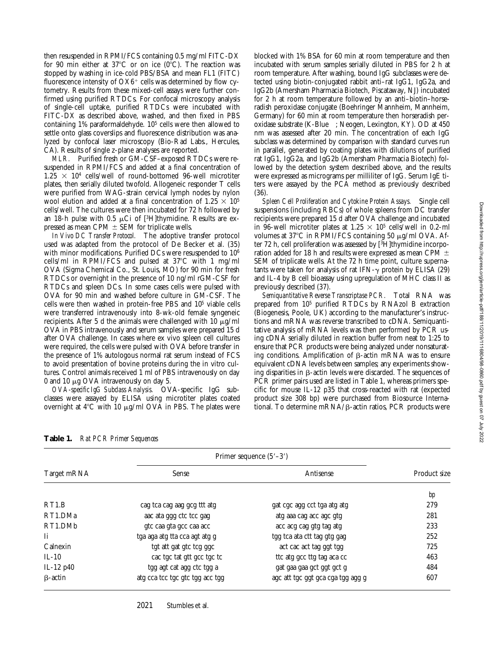then resuspended in RPMI/FCS containing 0.5 mg/ml FITC-DX for 90 min either at  $37^{\circ}$ C or on ice (0 $^{\circ}$ C). The reaction was stopped by washing in ice-cold PBS/BSA and mean FL1 (FITC) fluorescence intensity of  $O X6^+$  cells was determined by flow cytometry. Results from these mixed-cell assays were further confirmed using purified RTDCs. For confocal microscopy analysis of single-cell uptake, purified RTDCs were incubated with FITC-DX as described above, washed, and then fixed in PBS containing 1% paraformaldehyde. 105 cells were then allowed to settle onto glass coverslips and fluorescence distribution was analyzed by confocal laser microscopy (Bio-Rad Labs., Hercules, CA). Results of single z-plane analyses are reported.

*MLR.* Purified fresh or GM-CSF–exposed RTDCs were resuspended in RPMI/FCS and added at a final concentration of  $1.25 \times 10^4$  cells/well of round-bottomed 96-well microtiter plates, then serially diluted twofold. Allogeneic responder T cells were purified from WAG-strain cervical lymph nodes by nylon wool elution and added at a final concentration of  $1.25 \times 10^5$ cells/well. The cultures were then incubated for 72 h followed by an 18-h pulse with 0.5  $\mu$ Ci of [3H]thymidine. Results are expressed as mean CPM  $\pm$  SEM for triplicate wells.

*In Vivo DC Transfer Protocol.* The adoptive transfer protocol used was adapted from the protocol of De Becker et al. (35) with minor modifications. Purified DCs were resuspended to 10<sup>6</sup> cells/ml in RPMI/FCS and pulsed at  $37^{\circ}$ C with 1 mg/ml OVA (Sigma Chemical Co., St. Louis, MO) for 90 min for fresh RTDCs or overnight in the presence of 10 ng/ml rGM-CSF for RTDCs and spleen DCs. In some cases cells were pulsed with OVA for 90 min and washed before culture in GM-CSF. The cells were then washed in protein-free PBS and 105 viable cells were transferred intravenously into 8-wk-old female syngeneic recipients. After 5 d the animals were challenged with 10  $\mu$ g/ml OVA in PBS intravenously and serum samples were prepared 15 d after OVA challenge. In cases where ex vivo spleen cell cultures were required, the cells were pulsed with OVA before transfer in the presence of 1% autologous normal rat serum instead of FCS to avoid presentation of bovine proteins during the in vitro cultures. Control animals received 1 ml of PBS intravenously on day 0 and 10  $\mu$ g OVA intravenously on day 5.

*OVA-specific IgG Subclass Analysis.* OVA-specific IgG subclasses were assayed by ELISA using microtiter plates coated overnight at  $4^{\circ}$ C with 10  $\mu$ g/ml OVA in PBS. The plates were

blocked with 1% BSA for 60 min at room temperature and then incubated with serum samples serially diluted in PBS for 2 h at room temperature. After washing, bound IgG subclasses were detected using biotin-conjugated rabbit anti–rat IgG1, IgG2a, and IgG2b (Amersham Pharmacia Biotech, Piscataway, NJ) incubated for 2 h at room temperature followed by an anti–biotin–horseradish peroxidase conjugate (Boehringer Mannheim, Mannheim, Germany) for 60 min at room temperature then horseradish peroxidase substrate (K-Blue<sup>TM</sup>; Neogen, Lexington, KY). OD at 450 nm was assessed after 20 min. The concentration of each IgG subclass was determined by comparison with standard curves run in parallel, generated by coating plates with dilutions of purified rat IgG1, IgG2a, and IgG2b (Amersham Pharmacia Biotech) followed by the detection system described above, and the results were expressed as micrograms per milliliter of IgG. Serum IgE titers were assayed by the PCA method as previously described (36).

*Spleen Cell Proliferation and Cytokine Protein Assays.* Single cell suspensions (including RBCs) of whole spleens from DC transfer recipients were prepared 15 d after OVA challenge and incubated in 96-well microtiter plates at 1.25  $\times$  10<sup>5</sup> cells/well in 0.2-ml volumes at 37 $\degree$ C in RPMI/FCS containing 50  $\mu$ g/ml OVA. After 72 h, cell proliferation was assessed by [3H]thymidine incorporation added for 18 h and results were expressed as mean CPM  $\pm$ SEM of triplicate wells. At the 72 h time point, culture supernatants were taken for analysis of rat IFN- $\gamma$  protein by ELISA (29) and IL-4 by B cell bioassay using upregulation of MHC class II as previously described (37).

*Semiquantitative Reverse Transcriptase PCR.* Total RNA was prepared from 105 purified RTDCs by RNAzol B extraction (Biogenesis, Poole, UK) according to the manufacturer's instructions and mRNA was reverse transcribed to cDNA. Semiquantitative analysis of mRNA levels was then performed by PCR using cDNA serially diluted in reaction buffer from neat to 1:25 to ensure that PCR products were being analyzed under nonsaturating conditions. Amplification of  $\beta$ -actin mRNA was to ensure equivalent cDNA levels between samples; any experiments showing disparities in  $\beta$ -actin levels were discarded. The sequences of PCR primer pairs used are listed in Table 1, whereas primers specific for mouse IL-12 p35 that cross-reacted with rat (expected product size 308 bp) were purchased from Biosource International. To determine m $RNA/B$ -actin ratios, PCR products were

| Table 1. | <b>Rat PCR Primer Sequences</b> |
|----------|---------------------------------|
|----------|---------------------------------|

|                    | Primer sequence $(5'–3')$       |                                   |              |
|--------------------|---------------------------------|-----------------------------------|--------------|
| Target mRNA        | Sense                           | Antisense                         | Product size |
|                    |                                 |                                   | bp           |
| RT <sub>1.</sub> B | cag tca cag aag gcg ttt atg     | gat cgc agg cct tga atg atg       | 279          |
| RT1.DMa            | aac ata ggg ctc tcc gag         | atg aaa cag acc agc gtg           | 281          |
| RT1.DMb            | gte caa gta gee caa acc         | acc acg cag gtg tag atg           | 233          |
| Ιi                 | tga aga atg tta cca agt atg g   | tgg tca ata ctt tag gtg gag       | 252          |
| Calnexin           | tgt att gat gtc tcg ggc         | act cac act tag ggt tgg           | 725          |
| $IL-10$            | cac tgc tat gtt gcc tgc tc      | tte atg gee ttg tag aca ee        | 463          |
| IL-12 p40          | tgg agt cat agg ctc tgg a       | gat gaa gaa gct ggt gct g         | 484          |
| $\beta$ -actin     | atg cca tcc tgc gtc tgg acc tgg | agc att tgc ggt gca cga tgg agg g | 607          |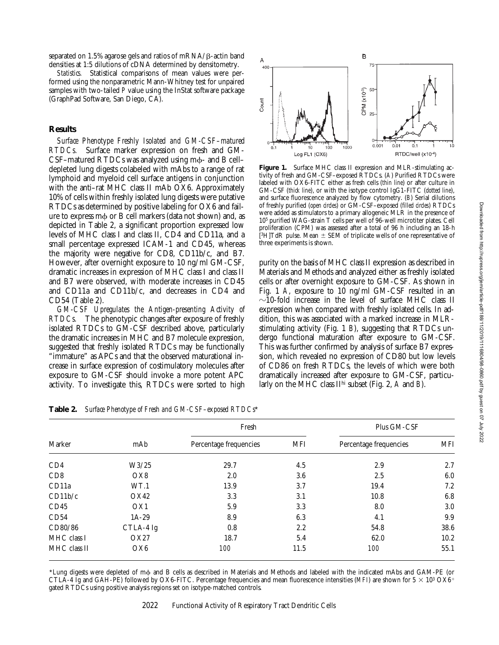separated on 1.5% agarose gels and ratios of  $mRNA/B$ -actin band densities at 1:5 dilutions of cDNA determined by densitometry.

*Statistics.* Statistical comparisons of mean values were performed using the nonparametric Mann-Whitney test for unpaired samples with two-tailed *P* value using the InStat software package (GraphPad Software, San Diego, CA).

# **Results**

*Surface Phenotype Freshly Isolated and GM-CSF–matured RTDCs.* Surface marker expression on fresh and GM- $CSF$ –matured RTDCs was analyzed using m $\phi$ - and B cell– depleted lung digests colabeled with mAbs to a range of rat lymphoid and myeloid cell surface antigens in conjunction with the anti–rat MHC class II mAb OX6. Approximately 10% of cells within freshly isolated lung digests were putative RTDCs as determined by positive labeling for OX6 and failure to express  $m\phi$  or B cell markers (data not shown) and, as depicted in Table 2, a significant proportion expressed low levels of MHC class I and class II, CD4 and CD11a, and a small percentage expressed ICAM-1 and CD45, whereas the majority were negative for CD8, CD11b/c, and B7. However, after overnight exposure to 10 ng/ml GM-CSF, dramatic increases in expression of MHC class I and class II and B7 were observed, with moderate increases in CD45 and CD11a and CD11b/c, and decreases in CD4 and CD54 (Table 2).

*GM-CSF Upregulates the Antigen-presenting Activity of RTDCs.* The phenotypic changes after exposure of freshly isolated RTDCs to GM-CSF described above, particularly the dramatic increases in MHC and B7 molecule expression, suggested that freshly isolated RTDCs may be functionally "immature" as APCs and that the observed maturational increase in surface expression of costimulatory molecules after exposure to GM-CSF should invoke a more potent APC activity. To investigate this, RTDCs were sorted to high



Figure 1. Surface MHC class II expression and MLR-stimulating activity of fresh and GM-CSF–exposed RTDCs. (*A*) Purified RTDCs were labeled with OX6-FITC either as fresh cells (*thin line*) or after culture in GM-CSF (*thick line*), or with the isotype control IgG1-FITC (*dotted line*), and surface fluorescence analyzed by flow cytometry. (*B*) Serial dilutions of freshly purified (*open circles*) or GM-CSF–exposed (*filled circles*) RTDCs were added as stimulators to a primary allogeneic MLR in the presence of 105 purified WAG-strain T cells per well of 96-well microtiter plates. Cell proliferation (CPM) was assessed after a total of 96 h including an 18-h [ ${}^{3}$ H]TdR pulse. Mean  $\pm$  SEM of triplicate wells of one representative of three experiments is shown.

purity on the basis of MHC class II expression as described in Materials and Methods and analyzed either as freshly isolated cells or after overnight exposure to GM-CSF. As shown in Fig. 1 *A*, exposure to 10 ng/ml GM-CSF resulted in an  $\sim$ 10-fold increase in the level of surface MHC class II expression when compared with freshly isolated cells. In addition, this was associated with a marked increase in MLRstimulating activity (Fig. 1 *B*), suggesting that RTDCs undergo functional maturation after exposure to GM-CSF. This was further confirmed by analysis of surface B7 expression, which revealed no expression of CD80 but low levels of CD86 on fresh RTDCs, the levels of which were both dramatically increased after exposure to GM-CSF, particularly on the MHC class IIhi subset (Fig. 2, *A* and *B*).

| Marker       |                 | Fresh                  |            | Plus GM-CSF            |            |
|--------------|-----------------|------------------------|------------|------------------------|------------|
|              | mAb             | Percentage frequencies | <b>MFI</b> | Percentage frequencies | <b>MFI</b> |
| CD4          | W3/25           | 29.7                   | 4.5        | 2.9                    | 2.7        |
| CD8          | OX8             | 2.0                    | 3.6        | 2.5                    | 6.0        |
| CD11a        | WT.1            | 13.9                   | 3.7        | 19.4                   | 7.2        |
| CD11b/c      | OX42            | 3.3                    | 3.1        | 10.8                   | 6.8        |
| CD45         | OX <sub>1</sub> | 5.9                    | 3.3        | 8.0                    | 3.0        |
| CD54         | $1A-29$         | 8.9                    | 6.3        | 4.1                    | 9.9        |
| CD80/86      | CTLA-4 Ig       | 0.8                    | 2.2        | 54.8                   | 38.6       |
| MHC class I  | OX27            | 18.7                   | 5.4        | 62.0                   | 10.2       |
| MHC class II | OX <sub>6</sub> | 100                    | 11.5       | 100                    | 55.1       |

**Table 2.** *Surface Phenotype of Fresh and GM-CSF–exposed RTDCs*\*

\*Lung digests were depleted of mf and B cells as described in Materials and Methods and labeled with the indicated mAbs and GAM-PE (or CTLA-4 Ig and GAH-PE) followed by OX6-FITC. Percentage frequencies and mean fluorescence intensities (*MFI*) are shown for  $5 \times 10^3$  OX6<sup>+</sup> gated RTDCs using positive analysis regions set on isotype-matched controls.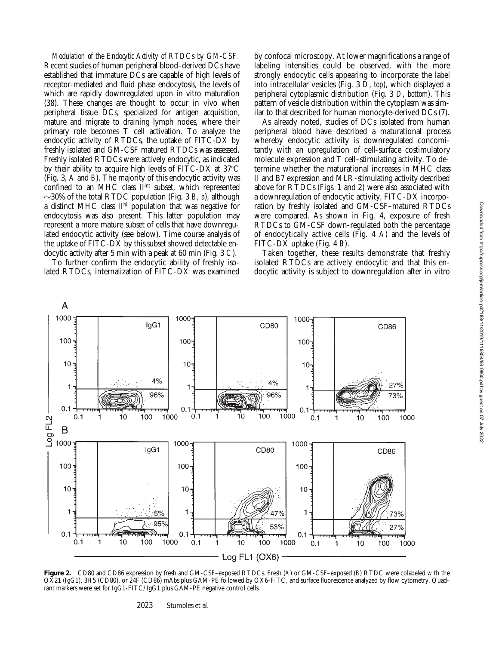*Modulation of the Endocytic Activity of RTDCs by GM-CSF.* Recent studies of human peripheral blood–derived DCs have established that immature DCs are capable of high levels of receptor-mediated and fluid phase endocytosis, the levels of which are rapidly downregulated upon in vitro maturation (38). These changes are thought to occur in vivo when peripheral tissue DCs, specialized for antigen acquisition, mature and migrate to draining lymph nodes, where their primary role becomes T cell activation. To analyze the endocytic activity of RTDCs, the uptake of FITC-DX by freshly isolated and GM-CSF matured RTDCs was assessed. Freshly isolated RTDCs were actively endocytic, as indicated by their ability to acquire high levels of FITC-DX at  $37^{\circ}$ C (Fig. 3, *A* and *B*). The majority of this endocytic activity was confined to an MHC class II<sup>int</sup> subset, which represented  $\sim$ 30% of the total RTDC population (Fig. 3 *B*, *a*), although a distinct MHC class IIhi population that was negative for endocytosis was also present. This latter population may represent a more mature subset of cells that have downregulated endocytic activity (see below). Time course analysis of the uptake of FITC-DX by this subset showed detectable endocytic activity after 5 min with a peak at 60 min (Fig. 3 *C*).

To further confirm the endocytic ability of freshly isolated RTDCs, internalization of FITC-DX was examined by confocal microscopy. At lower magnifications a range of labeling intensities could be observed, with the more strongly endocytic cells appearing to incorporate the label into intracellular vesicles (Fig. 3 *D*, *top*), which displayed a peripheral cytoplasmic distribution (Fig. 3 *D, bottom*). This pattern of vesicle distribution within the cytoplasm was similar to that described for human monocyte-derived DCs (7).

As already noted, studies of DCs isolated from human peripheral blood have described a maturational process whereby endocytic activity is downregulated concomitantly with an upregulation of cell-surface costimulatory molecule expression and T cell–stimulating activity. To determine whether the maturational increases in MHC class II and B7 expression and MLR-stimulating activity described above for RTDCs (Figs. 1 and 2) were also associated with a downregulation of endocytic activity, FITC-DX incorporation by freshly isolated and GM-CSF–matured RTDCs were compared. As shown in Fig. 4, exposure of fresh RTDCs to GM-CSF down-regulated both the percentage of endocytically active cells (Fig. 4 *A*) and the levels of FITC-DX uptake (Fig. 4 *B*).

Taken together, these results demonstrate that freshly isolated RTDCs are actively endocytic and that this endocytic activity is subject to downregulation after in vitro



**Figure 2.** CD80 and CD86 expression by fresh and GM-CSF–exposed RTDCs. Fresh (*A*) or GM-CSF–exposed (*B*) RTDC were colabeled with the OX21 (IgG1), 3H5 (CD80), or 24F (CD86) mAbs plus GAM-PE followed by OX6-FITC, and surface fluorescence analyzed by flow cytometry. Quadrant markers were set for IgG1-FITC/IgG1 plus GAM-PE negative control cells.

2023 Stumbles et al.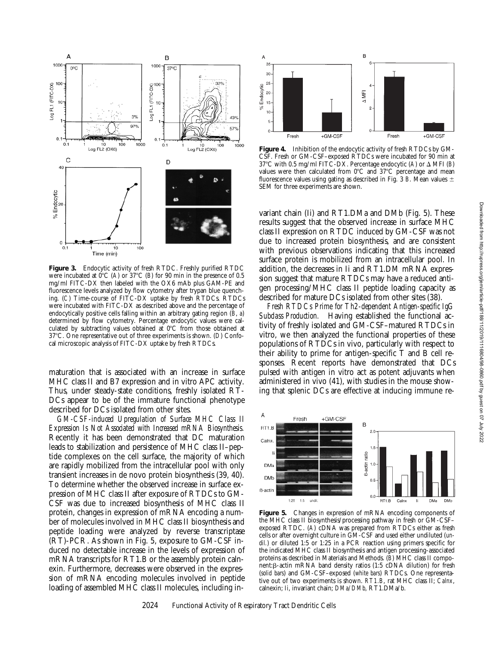

**Figure 3.** Endocytic activity of fresh RTDC. Freshly purified RTDC were incubated at  $0^{\circ}$ C (*A*) or  $37^{\circ}$ C (*B*) for 90 min in the presence of 0.5 mg/ml FITC-DX then labeled with the OX6 mAb plus GAM-PE and fluorescence levels analyzed by flow cytometry after trypan blue quenching. (*C*) Time-course of FITC-DX uptake by fresh RTDCs. RTDCs were incubated with FITC-DX as described above and the percentage of endocytically positive cells falling within an arbitrary gating region (*B*, *a*) determined by flow cytometry. Percentage endocytic values were calculated by subtracting values obtained at  $0^{\circ}$ C from those obtained at 378C. One representative out of three experiments is shown. (*D*) Confocal microscopic analysis of FITC-DX uptake by fresh RTDCs.

maturation that is associated with an increase in surface MHC class II and B7 expression and in vitro APC activity. Thus, under steady-state conditions, freshly isolated RT-DCs appear to be of the immature functional phenotype described for DCs isolated from other sites.

*GM-CSF-induced Upregulation of Surface MHC Class II Expression Is Not Associated with Increased mRNA Biosynthesis.* Recently it has been demonstrated that DC maturation leads to stabilization and persistence of MHC class II–peptide complexes on the cell surface, the majority of which are rapidly mobilized from the intracellular pool with only transient increases in de novo protein biosynthesis (39, 40). To determine whether the observed increase in surface expression of MHC class II after exposure of RTDCs to GM-CSF was due to increased biosynthesis of MHC class II protein, changes in expression of mRNA encoding a number of molecules involved in MHC class II biosynthesis and peptide loading were analyzed by reverse transcriptase (RT)-PCR. As shown in Fig. 5, exposure to GM-CSF induced no detectable increase in the levels of expression of mRNA transcripts for RT1.B or the assembly protein calnexin. Furthermore, decreases were observed in the expression of mRNA encoding molecules involved in peptide loading of assembled MHC class II molecules, including in-



**Figure 4.** Inhibition of the endocytic activity of fresh RTDCs by GM-CSF. Fresh or GM-CSF–exposed RTDCs were incubated for 90 min at 37°C with 0.5 mg/ml FITC-DX. Percentage endocytic (A) or  $\Delta$  MFI (*B*) values were then calculated from  $0^{\circ}$ C and  $37^{\circ}$ C percentage and mean fluorescence values using gating as described in Fig. 3  $B$ . Mean values  $\pm$ SEM for three experiments are shown.

variant chain (Ii) and RT1.DMa and DMb (Fig. 5). These results suggest that the observed increase in surface MHC class II expression on RTDC induced by GM-CSF was not due to increased protein biosynthesis, and are consistent with previous observations indicating that this increased surface protein is mobilized from an intracellular pool. In addition, the decreases in Ii and RT1.DM mRNA expression suggest that mature RTDCs may have a reduced antigen processing/MHC class II peptide loading capacity as described for mature DCs isolated from other sites (38).

*Fresh RTDCs Prime for Th2-dependent Antigen-specific IgG Subclass Production.* Having established the functional activity of freshly isolated and GM-CSF–matured RTDCs in vitro, we then analyzed the functional properties of these populations of RTDCs in vivo, particularly with respect to their ability to prime for antigen-specific T and B cell responses. Recent reports have demonstrated that DCs pulsed with antigen in vitro act as potent adjuvants when administered in vivo (41), with studies in the mouse showing that splenic DCs are effective at inducing immune re-



**Figure 5.** Changes in expression of mRNA encoding components of the MHC class II biosynthesis/processing pathway in fresh or GM-CSF– exposed RTDC. (*A*) cDNA was prepared from RTDCs either as fresh cells or after overnight culture in GM-CSF and used either undiluted (*undil.*) or diluted 1:5 or 1:25 in a PCR reaction using primers specific for the indicated MHC class II biosynthesis and antigen processing-associated proteins as described in Materials and Methods. (*B*) MHC class II compo $n$ ent: $\beta$ -actin mRNA band density ratios (1:5 cDNA dilution) for fresh (*solid bars*) and GM-CSF–exposed (*white bars*) RTDCs. One representative out of two experiments is shown. *RT1.B*, rat MHC class II; *Calnx*, calnexin; *Ii*, invariant chain; *DMa/DMb*, RT1.DMa/b.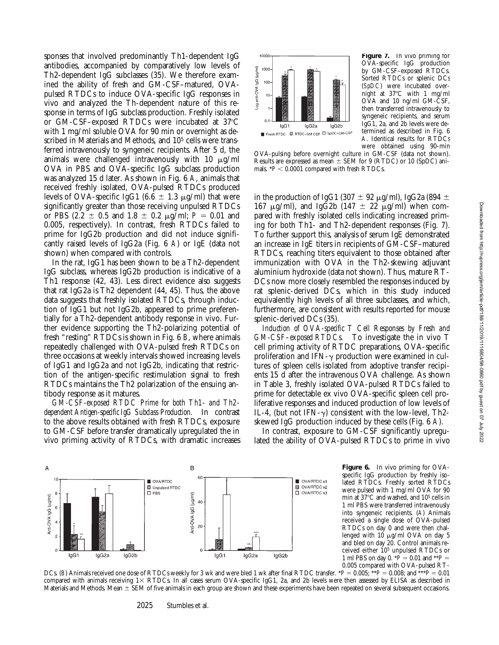sponses that involved predominantly Th1-dependent IgG antibodies, accompanied by comparatively low levels of Th2-dependent IgG subclasses (35). We therefore examined the ability of fresh and GM-CSF–matured, OVApulsed RTDCs to induce OVA-specific IgG responses in vivo and analyzed the Th-dependent nature of this response in terms of IgG subclass production. Freshly isolated or GM-CSF–exposed RTDCs were incubated at  $37^{\circ}$ C with 1 mg/ml soluble OVA for 90 min or overnight as described in Materials and Methods, and 10<sup>5</sup> cells were transferred intravenously to syngeneic recipients. After 5 d, the animals were challenged intravenously with 10  $\mu$ g/ml OVA in PBS and OVA-specific IgG subclass production was analyzed 15 d later. As shown in Fig. 6 *A*, animals that received freshly isolated, OVA-pulsed RTDCs produced levels of OVA-specific IgG1 (6.6  $\pm$  1.3  $\mu$ g/ml) that were significantly greater than those receiving unpulsed RTDCs or PBS (2.2  $\pm$  0.5 and 1.8  $\pm$  0.2  $\mu$ g/ml; *P* = 0.01 and 0.005, respectively). In contrast, fresh RTDCs failed to prime for IgG2b production and did not induce significantly raised levels of IgG2a (Fig. 6 *A*) or IgE (data not shown) when compared with controls.

In the rat, IgG1 has been shown to be a Th2-dependent IgG subclass, whereas IgG2b production is indicative of a Th1 response (42, 43). Less direct evidence also suggests that rat IgG2a is Th2 dependent (44, 45). Thus, the above data suggests that freshly isolated RTDCs, through induction of IgG1 but not IgG2b, appeared to prime preferentially for a Th2-dependent antibody response in vivo. Further evidence supporting the Th2-polarizing potential of fresh "resting" RTDCs is shown in Fig. 6 *B*, where animals repeatedly challenged with OVA-pulsed fresh RTDCs on three occasions at weekly intervals showed increasing levels of IgG1 and IgG2a and not IgG2b, indicating that restriction of the antigen-specific restimulation signal to fresh RTDCs maintains the Th2 polarization of the ensuing antibody response as it matures.

*GM-CSF-exposed RTDC Prime for both Th1- and Th2 dependent Antigen-specific IgG Subclass Production.* In contrast to the above results obtained with fresh RTDCs, exposure to GM-CSF before transfer dramatically upregulated the in vivo priming activity of RTDCs, with dramatic increases



**Figure 7.** In vivo priming for OVA-specific IgG production by GM-CSF–exposed RTDCs. Sorted RTDCs or splenic DCs (*SpDC*) were incubated overnight at  $37^{\circ}$ C with 1 mg/ml OVA and 10 ng/ml GM-CSF, then transferred intravenously to syngeneic recipients, and serum IgG1, 2a, and 2b levels were determined as described in Fig. 6 *A*. Identical results for RTDCs were obtained using 90-min

OVA-pulsing before overnight culture in GM-CSF (data not shown). Results are expressed as mean  $\pm$  SEM for 9 (RTDC) or 10 (SpDC) animals.  $*P < 0.0001$  compared with fresh RTDCs.

in the production of IgG1 (307  $\pm$  92  $\mu$ g/ml), IgG2a (894  $\pm$ 167  $\mu$ g/ml), and IgG2b (147  $\pm$  22  $\mu$ g/ml) when compared with freshly isolated cells indicating increased priming for both Th1- and Th2-dependent responses (Fig. 7). To further support this, analysis of serum IgE demonstrated an increase in IgE titers in recipients of GM-CSF–matured RTDCs, reaching titers equivalent to those obtained after immunization with OVA in the Th2-skewing adjuvant aluminium hydroxide (data not shown). Thus, mature RT-DCs now more closely resembled the responses induced by rat splenic-derived DCs, which in this study induced equivalently high levels of all three subclasses, and which, furthermore, are consistent with results reported for mouse splenic-derived DCs (35).

*Induction of OVA-specific T Cell Responses by Fresh and GM-CSF–exposed RTDCs.* To investigate the in vivo T cell priming activity of RTDC preparations, OVA-specific proliferation and IFN- $\gamma$  production were examined in cultures of spleen cells isolated from adoptive transfer recipients 15 d after the intravenous OVA challenge. As shown in Table 3, freshly isolated OVA-pulsed RTDCs failed to prime for detectable ex vivo OVA-specific spleen cell proliferative responses and induced production of low levels of IL-4, (but not IFN- $\gamma$ ) consistent with the low-level, Th2skewed IgG production induced by these cells (Fig. 6 *A*).

In contrast, exposure to GM-CSF significantly upregulated the ability of OVA-pulsed RTDCs to prime in vivo



**Figure 6.** In vivo priming for OVAspecific IgG production by freshly isolated RTDCs. Freshly sorted RTDCs were pulsed with 1 mg/ml OVA for 90 min at  $37^{\circ}$ C and washed, and  $10^5$  cells in 1 ml PBS were transferred intravenously into syngeneic recipients. (*A*) Animals received a single dose of OVA-pulsed RTDCs on day 0 and were then challenged with  $10 \mu g/ml$  OVA on day 5 and bled on day 20. Control animals received either 105 unpulsed RTDCs or 1 ml PBS on day 0.  $*\hat{P} = 0.01$  and  $**P =$ 0.005 compared with OVA-pulsed RT-

DCs. (*B*) Animals received one dose of RTDCs weekly for 3 wk and were bled 1 wk after final RTDC transfer. \**P* = 0.005; \*\**P* = 0.008; and \*\*\**P* = 0.01 compared with animals receiving  $1 \times$  RTDCs. In all cases serum OVA-specific IgG1, 2a, and 2b levels were then assessed by ELISA as described in Materials and Methods. Mean  $\pm$  SEM of five animals in each group are shown and these experiments have been repeated on several subsequent occasions.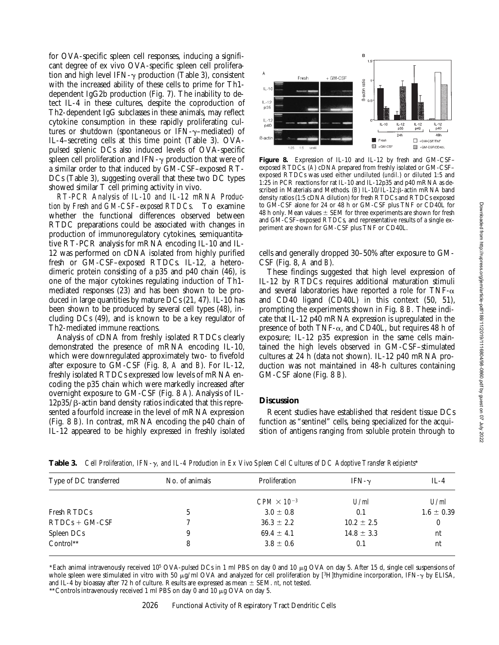for OVA-specific spleen cell responses, inducing a significant degree of ex vivo OVA-specific spleen cell proliferation and high level IFN- $\gamma$  production (Table 3), consistent with the increased ability of these cells to prime for Th1 dependent IgG2b production (Fig. 7). The inability to detect IL-4 in these cultures, despite the coproduction of Th2-dependent IgG subclasses in these animals, may reflect cytokine consumption in these rapidly proliferating cultures or shutdown (spontaneous or IFN- $\gamma$ –mediated) of IL-4–secreting cells at this time point (Table 3). OVApulsed splenic DCs also induced levels of OVA-specific spleen cell proliferation and IFN- $\gamma$  production that were of a similar order to that induced by GM-CSF–exposed RT-DCs (Table 3), suggesting overall that these two DC types showed similar T cell priming activity in vivo.

*RT-PCR Analysis of IL-10 and IL-12 mRNA Production by Fresh and GM-CSF–exposed RTDCs.* To examine whether the functional differences observed between RTDC preparations could be associated with changes in production of immunoregulatory cytokines, semiquantitative RT-PCR analysis for mRNA encoding IL-10 and IL-12 was performed on cDNA isolated from highly purified fresh or GM-CSF–exposed RTDCs. IL-12, a heterodimeric protein consisting of a p35 and p40 chain (46), is one of the major cytokines regulating induction of Th1 mediated responses (23) and has been shown to be produced in large quantities by mature DCs (21, 47). IL-10 has been shown to be produced by several cell types (48), including DCs (49), and is known to be a key regulator of Th2-mediated immune reactions.

Analysis of cDNA from freshly isolated RTDCs clearly demonstrated the presence of mRNA encoding IL-10, which were downregulated approximately two- to fivefold after exposure to GM-CSF (Fig. 8, *A* and *B*). For IL-12, freshly isolated RTDCs expressed low levels of mRNA encoding the p35 chain which were markedly increased after overnight exposure to GM-CSF (Fig. 8 *A*). Analysis of IL- $12p35/β$ -actin band density ratios indicated that this represented a fourfold increase in the level of mRNA expression (Fig. 8 *B*). In contrast, mRNA encoding the p40 chain of IL-12 appeared to be highly expressed in freshly isolated



**Figure 8.** Expression of IL-10 and IL-12 by fresh and GM-CSF– exposed RTDCs. (A) cDNA prepared from freshly isolated or GM-CSF– exposed RTDCs was used either undiluted (*undil.*) or diluted 1:5 and 1:25 in PCR reactions for rat IL-10 and IL-12p35 and p40 mRNA as described in Materials and Methods. (B) IL-10/IL-12:  $\beta$ -actin mRNA band density ratios (1:5 cDNA dilution) for fresh RTDCs and RTDCs exposed to GM-CSF alone for 24 or 48 h or GM-CSF plus TNF or CD40L for 48 h only. Mean values  $\pm$  SEM for three experiments are shown for fresh and GM-CSF–exposed RTDCs, and representative results of a single experiment are shown for GM-CSF plus TNF or CD40L.

cells and generally dropped 30–50% after exposure to GM-CSF (Fig. 8, *A* and *B*).

These findings suggested that high level expression of IL-12 by RTDCs requires additional maturation stimuli and several laboratories have reported a role for TNF- $\alpha$ and CD40 ligand (CD40L) in this context (50, 51), prompting the experiments shown in Fig. 8 *B*. These indicate that IL-12 p40 mRNA expression is upregulated in the presence of both TNF- $\alpha$ , and CD40L, but requires 48 h of exposure; IL-12 p35 expression in the same cells maintained the high levels observed in GM-CSF–stimulated cultures at 24 h (data not shown). IL-12 p40 mRNA production was not maintained in 48-h cultures containing GM-CSF alone (Fig. 8 *B*).

# **Discussion**

Recent studies have established that resident tissue DCs function as "sentinel" cells, being specialized for the acquisition of antigens ranging from soluble protein through to

| Type of DC transferred | No. of animals | Proliferation        | IFN- $\gamma$  | $IL-4$         |
|------------------------|----------------|----------------------|----------------|----------------|
|                        |                | $CPM \times 10^{-3}$ | U/ml           | U/ml           |
| Fresh RTDCs            |                | $3.0 \pm 0.8$        | 0.1            | $1.6 \pm 0.39$ |
| $RTDCs + GM-CSF$       |                | $36.3 \pm 2.2$       | $10.2 \pm 2.5$ | 0              |
| Spleen DCs             |                | $69.4 \pm 4.1$       | $14.8 \pm 3.3$ | nt             |
| Control**              | 8              | $3.8 \pm 0.6$        | 0.1            | nt             |

**Table 3.** *Cell Proliferation, IFN-*g*, and IL-4 Production in Ex Vivo Spleen Cell Cultures of DC Adoptive Transfer Recipients*\*

\*Each animal intravenously received 10<sup>5</sup> OVA-pulsed DCs in 1 ml PBS on day 0 and 10  $\mu$ g OVA on day 5. After 15 d, single cell suspensions of whole spleen were stimulated in vitro with 50  $\mu$ g/ml OVA and analyzed for cell proliferation by [3H]thymidine incorporation, IFN- $\gamma$  by ELISA, and IL-4 by bioassay after 72 h of culture. Results are expressed as mean  $\pm$  SEM. *nt*, not tested.

\*\* Controls intravenously received 1 ml PBS on day 0 and 10  $\mu$ g OVA on day 5.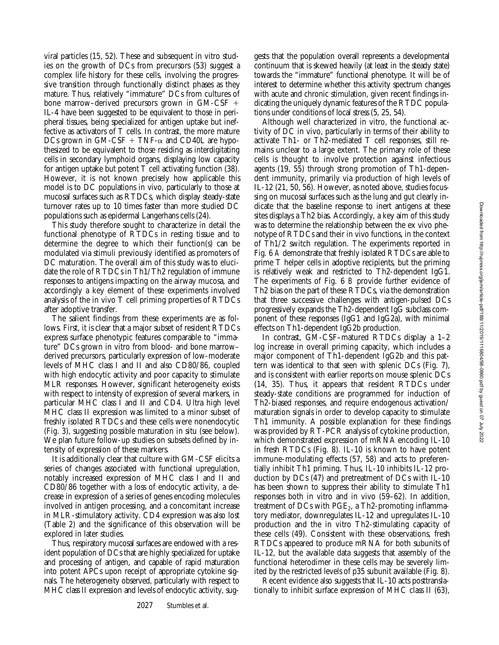viral particles (15, 52). These and subsequent in vitro studies on the growth of DCs from precursors (53) suggest a complex life history for these cells, involving the progressive transition through functionally distinct phases as they mature. Thus, relatively "immature" DCs from cultures of bone marrow–derived precursors grown in  $GM-CSF$  + IL-4 have been suggested to be equivalent to those in peripheral tissues, being specialized for antigen uptake but ineffective as activators of T cells. In contrast, the more mature DCs grown in GM-CSF + TNF- $\alpha$  and CD40L are hypothesized to be equivalent to those residing as interdigitating cells in secondary lymphoid organs, displaying low capacity for antigen uptake but potent T cell activating function (38). However, it is not known precisely how applicable this model is to DC populations in vivo, particularly to those at mucosal surfaces such as RTDCs, which display steady-state turnover rates up to 10 times faster than more studied DC populations such as epidermal Langerhans cells (24).

This study therefore sought to characterize in detail the functional phenotype of RTDCs in resting tissue and to determine the degree to which their function(s) can be modulated via stimuli previously identified as promoters of DC maturation. The overall aim of this study was to elucidate the role of RTDCs in Th1/Th2 regulation of immune responses to antigens impacting on the airway mucosa, and accordingly a key element of these experiments involved analysis of the in vivo T cell priming properties of RTDCs after adoptive transfer.

The salient findings from these experiments are as follows. First, it is clear that a major subset of resident RTDCs express surface phenotypic features comparable to "immature" DCs grown in vitro from blood- and bone marrow– derived precursors, particularly expression of low-moderate levels of MHC class I and II and also CD80/86, coupled with high endocytic activity and poor capacity to stimulate MLR responses. However, significant heterogeneity exists with respect to intensity of expression of several markers, in particular MHC class I and II and CD4. Ultra high level MHC class II expression was limited to a minor subset of freshly isolated RTDCs and these cells were nonendocytic (Fig. 3), suggesting possible maturation in situ (see below). We plan future follow-up studies on subsets defined by intensity of expression of these markers.

It is additionally clear that culture with GM-CSF elicits a series of changes associated with functional upregulation, notably increased expression of MHC class I and II and CD80/86 together with a loss of endocytic activity, a decrease in expression of a series of genes encoding molecules involved in antigen processing, and a concomitant increase in MLR-stimulatory activity. CD4 expression was also lost (Table 2) and the significance of this observation will be explored in later studies.

Thus, respiratory mucosal surfaces are endowed with a resident population of DCs that are highly specialized for uptake and processing of antigen, and capable of rapid maturation into potent APCs upon receipt of appropriate cytokine signals. The heterogeneity observed, particularly with respect to MHC class II expression and levels of endocytic activity, suggests that the population overall represents a developmental continuum that is skewed heavily (at least in the steady state) towards the "immature" functional phenotype. It will be of interest to determine whether this activity spectrum changes with acute and chronic stimulation, given recent findings indicating the uniquely dynamic features of the RTDC populations under conditions of local stress (5, 25, 54).

Although well characterized in vitro, the functional activity of DC in vivo, particularly in terms of their ability to activate Th1- or Th2-mediated T cell responses, still remains unclear to a large extent. The primary role of these cells is thought to involve protection against infectious agents (19, 55) through strong promotion of Th1-dependent immunity, primarily via production of high levels of IL-12 (21, 50, 56). However, as noted above, studies focussing on mucosal surfaces such as the lung and gut clearly indicate that the baseline response to inert antigens at these sites displays a Th2 bias. Accordingly, a key aim of this study was to determine the relationship between the ex vivo phenotype of RTDCs and their in vivo functions, in the context of Th1/2 switch regulation. The experiments reported in Fig. 6 *A* demonstrate that freshly isolated RTDCs are able to prime T helper cells in adoptive recipients, but the priming is relatively weak and restricted to Th2-dependent IgG1. The experiments of Fig. 6 *B* provide further evidence of Th2 bias on the part of these RTDCs, via the demonstration that three successive challenges with antigen-pulsed DCs progressively expands the Th2-dependent IgG subclass component of these responses (IgG1 and IgG2a), with minimal effects on Th1-dependent IgG2b production.

In contrast, GM-CSF–matured RTDCs display a 1–2 log increase in overall priming capacity, which includes a major component of Th1-dependent IgG2b and this pattern was identical to that seen with splenic DCs (Fig. 7), and is consistent with earlier reports on mouse splenic DCs (14, 35). Thus, it appears that resident RTDCs under steady-state conditions are programmed for induction of Th2-biased responses, and require endogenous activation/ maturation signals in order to develop capacity to stimulate Th1 immunity. A possible explanation for these findings was provided by RT-PCR analysis of cytokine production, which demonstrated expression of mRNA encoding IL-10 in fresh RTDCs (Fig. 8). IL-10 is known to have potent immune-modulating effects (57, 58) and acts to preferentially inhibit Th1 priming. Thus, IL-10 inhibits IL-12 production by DCs (47) and pretreatment of DCs with IL-10 has been shown to suppress their ability to stimulate Th1 responses both in vitro and in vivo (59–62). In addition, treatment of DCs with  $PGE_2$ , a Th2-promoting inflammatory mediator, downregulates IL-12 and upregulates IL-10 production and the in vitro Th2-stimulating capacity of these cells (49). Consistent with these observations, fresh RTDCs appeared to produce mRNA for both subunits of IL-12, but the available data suggests that assembly of the functional heterodimer in these cells may be severely limited by the restricted levels of p35 subunit available (Fig. 8).

Recent evidence also suggests that IL-10 acts posttranslationally to inhibit surface expression of MHC class II (63),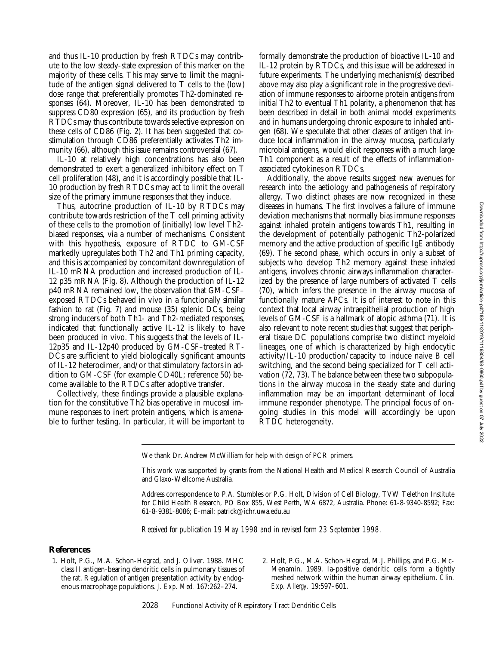and thus IL-10 production by fresh RTDCs may contribute to the low steady-state expression of this marker on the majority of these cells. This may serve to limit the magnitude of the antigen signal delivered to T cells to the (low) dose range that preferentially promotes Th2-dominated responses (64). Moreover, IL-10 has been demonstrated to suppress CD80 expression (65), and its production by fresh RTDCs may thus contribute towards selective expression on these cells of CD86 (Fig. 2). It has been suggested that costimulation through CD86 preferentially activates Th2 immunity (66), although this issue remains controversial (67).

IL-10 at relatively high concentrations has also been demonstrated to exert a generalized inhibitory effect on T cell proliferation (48), and it is accordingly possible that IL-10 production by fresh RTDCs may act to limit the overall size of the primary immune responses that they induce.

Thus, autocrine production of IL-10 by RTDCs may contribute towards restriction of the T cell priming activity of these cells to the promotion of (initially) low level Th2 biased responses, via a number of mechanisms. Consistent with this hypothesis, exposure of RTDC to GM-CSF markedly upregulates both Th2 and Th1 priming capacity, and this is accompanied by concomitant downregulation of IL-10 mRNA production and increased production of IL-12 p35 mRNA (Fig. 8). Although the production of IL-12 p40 mRNA remained low, the observation that GM-CSF– exposed RTDCs behaved in vivo in a functionally similar fashion to rat (Fig. 7) and mouse (35) splenic DCs, being strong inducers of both Th1- and Th2-mediated responses, indicated that functionally active IL-12 is likely to have been produced in vivo. This suggests that the levels of IL-12p35 and IL-12p40 produced by GM-CSF–treated RT-DCs are sufficient to yield biologically significant amounts of IL-12 heterodimer, and/or that stimulatory factors in addition to GM-CSF (for example CD40L; reference 50) become available to the RTDCs after adoptive transfer.

Collectively, these findings provide a plausible explanation for the constitutive Th2 bias operative in mucosal immune responses to inert protein antigens, which is amenable to further testing. In particular, it will be important to formally demonstrate the production of bioactive IL-10 and IL-12 protein by RTDCs, and this issue will be addressed in future experiments. The underlying mechanism(s) described above may also play a significant role in the progressive deviation of immune responses to airborne protein antigens from initial Th2 to eventual Th1 polarity, a phenomenon that has been described in detail in both animal model experiments and in humans undergoing chronic exposure to inhaled antigen (68). We speculate that other classes of antigen that induce local inflammation in the airway mucosa, particularly microbial antigens, would elicit responses with a much large Th1 component as a result of the effects of inflammationassociated cytokines on RTDCs.

Additionally, the above results suggest new avenues for research into the aetiology and pathogenesis of respiratory allergy. Two distinct phases are now recognized in these diseases in humans. The first involves a failure of immune deviation mechanisms that normally bias immune responses against inhaled protein antigens towards Th1, resulting in the development of potentially pathogenic Th2-polarized memory and the active production of specific IgE antibody (69). The second phase, which occurs in only a subset of subjects who develop Th2 memory against these inhaled antigens, involves chronic airways inflammation characterized by the presence of large numbers of activated T cells (70), which infers the presence in the airway mucosa of functionally mature APCs. It is of interest to note in this context that local airway intraepithelial production of high levels of GM-CSF is a hallmark of atopic asthma (71). It is also relevant to note recent studies that suggest that peripheral tissue DC populations comprise two distinct myeloid lineages, one of which is characterized by high endocytic activity/IL-10 production/capacity to induce naive B cell switching, and the second being specialized for T cell activation (72, 73). The balance between these two subpopulations in the airway mucosa in the steady state and during inflammation may be an important determinant of local immune responder phenotype. The principal focus of ongoing studies in this model will accordingly be upon RTDC heterogeneity.

We thank Dr. Andrew McWilliam for help with design of PCR primers.

This work was supported by grants from the National Health and Medical Research Council of Australia and Glaxo-Wellcome Australia.

Address correspondence to P.A. Stumbles or P.G. Holt, Division of Cell Biology, TVW Telethon Institute for Child Health Research, PO Box 855, West Perth, WA 6872, Australia. Phone: 61-8-9340-8592; Fax: 61-8-9381-8086; E-mail: patrick@ichr.uwa.edu.au

*Received for publication 19 May 1998 and in revised form 23 September 1998.*

### **References**

- 1. Holt, P.G., M.A. Schon-Hegrad, and J. Oliver. 1988. MHC class II antigen-bearing dendritic cells in pulmonary tissues of the rat. Regulation of antigen presentation activity by endogenous macrophage populations. *J. Exp. Med.* 167:262–274.
- 2. Holt, P.G., M.A. Schon-Hegrad, M.J. Phillips, and P.G. Mc-Menamin. 1989. Ia-positive dendritic cells form a tightly meshed network within the human airway epithelium. *Clin. Exp. Allergy.* 19:597–601.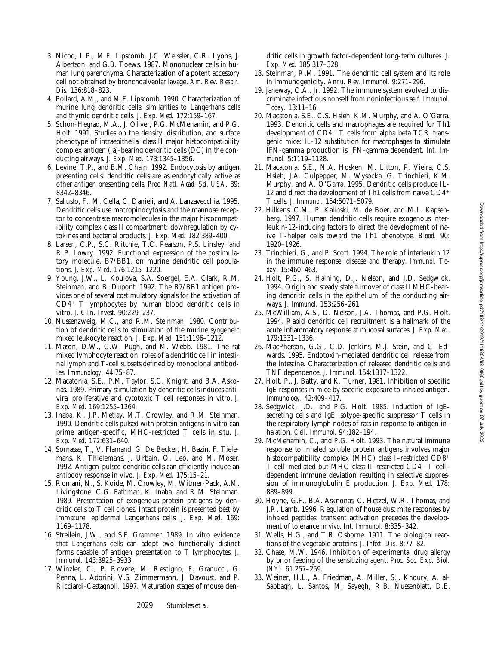- 3. Nicod, L.P., M.F. Lipscomb, J.C. Weissler, C.R. Lyons, J. Albertson, and G.B. Toews. 1987. Mononuclear cells in human lung parenchyma. Characterization of a potent accessory cell not obtained by bronchoalveolar lavage. *Am. Rev. Respir. Dis.* 136:818–823.
- 4. Pollard, A.M., and M.F. Lipscomb. 1990. Characterization of murine lung dendritic cells: similarities to Langerhans cells and thymic dendritic cells. *J. Exp. Med.* 172:159–167.
- 5. Schon-Hegrad, M.A., J. Oliver, P.G. McMenamin, and P.G. Holt. 1991. Studies on the density, distribution, and surface phenotype of intraepithelial class II major histocompatibility complex antigen (Ia)-bearing dendritic cells (DC) in the conducting airways. *J. Exp. Med.* 173:1345–1356.
- 6. Levine, T.P., and B.M. Chain. 1992. Endocytosis by antigen presenting cells: dendritic cells are as endocytically active as other antigen presenting cells. *Proc. Natl. Acad. Sci. USA.* 89: 8342–8346.
- 7. Sallusto, F., M. Cella, C. Danieli, and A. Lanzavecchia. 1995. Dendritic cells use macropinocytosis and the mannose receptor to concentrate macromolecules in the major histocompatibility complex class II compartment: downregulation by cytokines and bacterial products. *J. Exp. Med.* 182:389–400.
- 8. Larsen, C.P., S.C. Ritchie, T.C. Pearson, P.S. Linsley, and R.P. Lowry. 1992. Functional expression of the costimulatory molecule, B7/BB1, on murine dendritic cell populations. *J. Exp. Med.* 176:1215–1220.
- 9. Young, J.W., L. Koulova, S.A. Soergel, E.A. Clark, R.M. Steinman, and B. Dupont. 1992. The B7/BB1 antigen provides one of several costimulatory signals for the activation of CD4<sup>1</sup> T lymphocytes by human blood dendritic cells in vitro. *J. Clin. Invest.* 90:229–237.
- 10. Nussenzweig, M.C., and R.M. Steinman. 1980. Contribution of dendritic cells to stimulation of the murine syngeneic mixed leukocyte reaction. *J. Exp. Med.* 151:1196–1212.
- 11. Mason, D.W., C.W. Pugh, and M. Webb. 1981. The rat mixed lymphocyte reaction: roles of a dendritic cell in intestinal lymph and T-cell subsets defined by monoclonal antibodies. *Immunology.* 44:75–87.
- 12. Macatonia, S.E., P.M. Taylor, S.C. Knight, and B.A. Askonas. 1989. Primary stimulation by dendritic cells induces antiviral proliferative and cytotoxic T cell responses in vitro. *J. Exp. Med.* 169:1255–1264.
- 13. Inaba, K., J.P. Metlay, M.T. Crowley, and R.M. Steinman. 1990. Dendritic cells pulsed with protein antigens in vitro can prime antigen-specific, MHC-restricted T cells in situ. *J. Exp. Med.* 172:631–640.
- 14. Sornasse, T., V. Flamand, G. De Becker, H. Bazin, F. Tielemans, K. Thielemans, J. Urbain, O. Leo, and M. Moser. 1992. Antigen-pulsed dendritic cells can efficiently induce an antibody response in vivo. *J. Exp. Med.* 175:15–21.
- 15. Romani, N., S. Koide, M. Crowley, M. Witmer-Pack, A.M. Livingstone, C.G. Fathman, K. Inaba, and R.M. Steinman. 1989. Presentation of exogenous protein antigens by dendritic cells to T cell clones. Intact protein is presented best by immature, epidermal Langerhans cells. *J. Exp. Med.* 169: 1169–1178.
- 16. Streilein, J.W., and S.F. Grammer. 1989. In vitro evidence that Langerhans cells can adopt two functionally distinct forms capable of antigen presentation to T lymphocytes. *J. Immunol.* 143:3925–3933.
- 17. Winzler, C., P. Rovere, M. Rescigno, F. Granucci, G. Penna, L. Adorini, V.S. Zimmermann, J. Davoust, and P. Ricciardi-Castagnoli. 1997. Maturation stages of mouse den-

dritic cells in growth factor-dependent long-term cultures. *J. Exp. Med.* 185:317–328.

- 18. Steinman, R.M. 1991. The dendritic cell system and its role in immunogenicity. *Annu. Rev. Immunol.* 9:271–296.
- 19. Janeway, C.A., Jr. 1992. The immune system evolved to discriminate infectious nonself from noninfectious self. *Immunol. Today.* 13:11–16.
- 20. Macatonia, S.E., C.S. Hsieh, K.M. Murphy, and A. O'Garra. 1993. Dendritic cells and macrophages are required for Th1 development of  $CD4^+$  T cells from alpha beta TCR transgenic mice: IL-12 substitution for macrophages to stimulate IFN-gamma production is IFN-gamma-dependent. *Int. Immunol.* 5:1119–1128.
- 21. Macatonia, S.E., N.A. Hosken, M. Litton, P. Vieira, C.S. Hsieh, J.A. Culpepper, M. Wysocka, G. Trinchieri, K.M. Murphy, and A. O'Garra. 1995. Dendritic cells produce IL-12 and direct the development of Th1 cells from naive  $CD4$ <sup>+</sup> T cells. *J. Immunol.* 154:5071–5079.
- 22. Hilkens, C.M., P. Kalinski, M. de Boer, and M.L. Kapsenberg. 1997. Human dendritic cells require exogenous interleukin-12-inducing factors to direct the development of naive T-helper cells toward the Th1 phenotype. *Blood.* 90: 1920–1926.
- 23. Trinchieri, G., and P. Scott. 1994. The role of interleukin 12 in the immune response, disease and therapy. *Immunol. Today.* 15:460–463.
- 24. Holt, P.G., S. Haining, D.J. Nelson, and J.D. Sedgwick. 1994. Origin and steady state turnover of class II MHC-bearing dendritic cells in the epithelium of the conducting airways. *J. Immunol.* 153:256–261.
- 25. McWilliam, A.S., D. Nelson, J.A. Thomas, and P.G. Holt. 1994. Rapid dendritic cell recruitment is a hallmark of the acute inflammatory response at mucosal surfaces. *J. Exp. Med.* 179:1331–1336.
- 26. MacPherson, G.G., C.D. Jenkins, M.J. Stein, and C. Edwards. 1995. Endotoxin-mediated dendritic cell release from the intestine. Characterization of released dendritic cells and TNF dependence. *J. Immunol.* 154:1317–1322.
- 27. Holt, P., J. Batty, and K. Turner. 1981. Inhibition of specific IgE responses in mice by specific exposure to inhaled antigen. *Immunology.* 42:409–417.
- 28. Sedgwick, J.D., and P.G. Holt. 1985. Induction of IgEsecreting cells and IgE isotype-specific suppressor T cells in the respiratory lymph nodes of rats in response to antigen inhalation. *Cell. Immunol.* 94:182–194.
- 29. McMenamin, C., and P.G. Holt. 1993. The natural immune response to inhaled soluble protein antigens involves major histocompatibility complex (MHC) class I-restricted CD8<sup>+</sup> T cell-mediated but MHC class II-restricted CD4+ T celldependent immune deviation resulting in selective suppression of immunoglobulin E production. *J. Exp. Med.* 178: 889–899.
- 30. Hoyne, G.F., B.A. Asknonas, C. Hetzel, W.R. Thomas, and J.R. Lamb. 1996. Regulation of house dust mite responses by inhaled peptides: transient activation precedes the development of tolerance *in vivo*. *Int. Immunol.* 8:335–342.
- 31. Wells, H.G., and T.B. Osborne. 1911. The biological reactions of the vegetable proteins. *J. Infect. Dis.* 8:77–82.
- 32. Chase, M.W. 1946. Inhibition of experimental drug allergy by prior feeding of the sensitizing agent. *Proc. Soc. Exp. Biol. (NY).* 61:257–259.
- 33. Weiner, H.L., A. Friedman, A. Miller, S.J. Khoury, A. al-Sabbagh, L. Santos, M. Sayegh, R.B. Nussenblatt, D.E.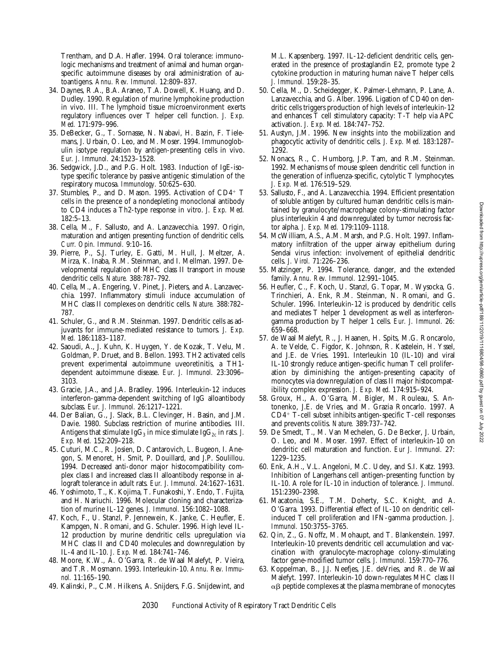Trentham, and D.A. Hafler. 1994. Oral tolerance: immunologic mechanisms and treatment of animal and human organspecific autoimmune diseases by oral administration of autoantigens. *Annu. Rev. Immunol.* 12:809–837.

- 34. Daynes, R.A., B.A. Araneo, T.A. Dowell, K. Huang, and D. Dudley. 1990. Regulation of murine lymphokine production in vivo. III. The lymphoid tissue microenvironment exerts regulatory influences over T helper cell function. *J. Exp. Med.* 171:979–996.
- 35. DeBecker, G., T. Sornasse, N. Nabavi, H. Bazin, F. Tielemans, J. Urbain, O. Leo, and M. Moser. 1994. Immunoglobulin isotype regulation by antigen-presenting cells in vivo. *Eur. J. Immunol.* 24:1523–1528.
- 36. Sedgwick, J.D., and P.G. Holt. 1983. Induction of IgE-isotype specific tolerance by passive antigenic stimulation of the respiratory mucosa. *Immunology.* 50:625–630.
- 37. Stumbles, P., and D. Mason. 1995. Activation of  $CD4^+$  T cells in the presence of a nondepleting monoclonal antibody to CD4 induces a Th2-type response in vitro. *J. Exp. Med.* 182:5–13.
- 38. Cella, M., F. Sallusto, and A. Lanzavecchia. 1997. Origin, maturation and antigen presenting function of dendritic cells. *Curr. Opin. Immunol.* 9:10–16.
- 39. Pierre, P., S.J. Turley, E. Gatti, M. Hull, J. Meltzer, A. Mirza, K. Inaba, R.M. Steinman, and I. Mellman. 1997. Developmental regulation of MHC class II transport in mouse dendritic cells. *Nature.* 388:787–792.
- 40. Cella, M., A. Engering, V. Pinet, J. Pieters, and A. Lanzavecchia. 1997. Inflammatory stimuli induce accumulation of MHC class II complexes on dendritic cells. *Nature.* 388:782– 787.
- 41. Schuler, G., and R.M. Steinman. 1997. Dendritic cells as adjuvants for immune-mediated resistance to tumors. *J. Exp. Med.* 186:1183–1187.
- 42. Saoudi, A., J. Kuhn, K. Huygen, Y. de Kozak, T. Velu, M. Goldman, P. Druet, and B. Bellon. 1993. TH2 activated cells prevent experimental autoimmune uveoretinitis, a TH1 dependent autoimmune disease. *Eur. J. Immunol.* 23:3096– 3103.
- 43. Gracie, J.A., and J.A. Bradley. 1996. Interleukin-12 induces interferon-gamma-dependent switching of IgG alloantibody subclass. *Eur. J. Immunol.* 26:1217–1221.
- 44. Der Balian, G., J. Slack, B.L. Clevinger, H. Basin, and J.M. Davie. 1980. Subclass restriction of murine antibodies. III. Antigens that stimulate Ig $G_3$  in mice stimulate Ig $G_{2c}$  in rats. *J. Exp. Med.* 152:209–218.
- 45. Cuturi, M.C., R. Josien, D. Cantarovich, L. Bugeon, I. Anegon, S. Menoret, H. Smit, P. Douillard, and J.P. Soulillou. 1994. Decreased anti-donor major histocompatibility complex class I and increased class II alloantibody response in allograft tolerance in adult rats. *Eur. J. Immunol.* 24:1627–1631.
- 46. Yoshimoto, T., K. Kojima, T. Funakoshi, Y. Endo, T. Fujita, and H. Nariuchi. 1996. Molecular cloning and characterization of murine IL-12 genes. *J. Immunol.* 156:1082–1088.
- 47. Koch, F., U. Stanzl, P. Jennewein, K. Janke, C. Heufler, E. Kampgen, N. Romani, and G. Schuler. 1996. High level IL-12 production by murine dendritic cells: upregulation via MHC class II and CD40 molecules and downregulation by IL-4 and IL-10. *J. Exp. Med.* 184:741–746.
- 48. Moore, K.W., A. O'Garra, R. de Waal Malefyt, P. Vieira, and T.R. Mosmann. 1993. Interleukin-10. *Annu. Rev. Immunol.* 11:165–190.
- 49. Kalinski, P., C.M. Hilkens, A. Snijders, F.G. Snijdewint, and

M.L. Kapsenberg. 1997. IL-12-deficient dendritic cells, generated in the presence of prostaglandin E2, promote type 2 cytokine production in maturing human naive T helper cells. *J. Immunol.* 159:28–35.

- 50. Cella, M., D. Scheidegger, K. Palmer-Lehmann, P. Lane, A. Lanzavecchia, and G. Alber. 1996. Ligation of CD40 on dendritic cells triggers production of high levels of interleukin-12 and enhances T cell stimulatory capacity: T-T help via APC activation. *J. Exp. Med.* 184:747–752.
- 51. Austyn, J.M. 1996. New insights into the mobilization and phagocytic activity of dendritic cells. *J. Exp. Med.* 183:1287– 1292.
- 52. Nonacs, R., C. Humborg, J.P. Tam, and R.M. Steinman. 1992. Mechanisms of mouse spleen dendritic cell function in the generation of influenza-specific, cytolytic T lymphocytes. *J. Exp. Med.* 176:519–529.
- 53. Sallusto, F., and A. Lanzavecchia. 1994. Efficient presentation of soluble antigen by cultured human dendritic cells is maintained by granulocyte/macrophage colony-stimulating factor plus interleukin 4 and downregulated by tumor necrosis factor alpha. *J. Exp. Med.* 179:1109–1118.
- 54. McWilliam, A.S., A.M. Marsh, and P.G. Holt. 1997. Inflammatory infiltration of the upper airway epithelium during Sendai virus infection: involvement of epithelial dendritic cells. *J. Virol.* 71:226–236.
- 55. Matzinger, P. 1994. Tolerance, danger, and the extended family. *Annu. Rev. Immunol.* 12:991–1045.
- 56. Heufler, C., F. Koch, U. Stanzl, G. Topar, M. Wysocka, G. Trinchieri, A. Enk, R.M. Steinman, N. Romani, and G. Schuler. 1996. Interleukin-12 is produced by dendritic cells and mediates T helper 1 development as well as interferongamma production by T helper 1 cells. *Eur. J. Immunol.* 26: 659–668.
- 57. de Waal Malefyt, R., J. Haanen, H. Spits, M.G. Roncarolo, A. te Velde, C. Figdor, K. Johnson, R. Kastelein, H. Yssel, and J.E. de Vries. 1991. Interleukin 10 (IL-10) and viral IL-10 strongly reduce antigen-specific human T cell proliferation by diminishing the antigen-presenting capacity of monocytes via downregulation of class II major histocompatibility complex expression. *J. Exp. Med.* 174:915–924.
- 58. Groux, H., A. O'Garra, M. Bigler, M. Rouleau, S. Antonenko, J.E. de Vries, and M. Grazia Roncarlo. 1997. A  $CD4+$  T-cell subset inhibits antigen-specific T-cell responses and prevents colitis. *Nature.* 389:737–742.
- 59. De Smedt, T., M. Van Mechelen, G. De Becker, J. Urbain, O. Leo, and M. Moser. 1997. Effect of interleukin-10 on dendritic cell maturation and function. *Eur J. Immunol.* 27: 1229–1235.
- 60. Enk, A.H., V.L. Angeloni, M.C. Udey, and S.I. Katz. 1993. Inhibition of Langerhans cell antigen-presenting function by IL-10. A role for IL-10 in induction of tolerance. *J. Immunol.* 151:2390–2398.
- 61. Macatonia, S.E., T.M. Doherty, S.C. Knight, and A. O'Garra. 1993. Differential effect of IL-10 on dendritic cellinduced T cell proliferation and IFN-gamma production. *J. Immunol.* 150:3755–3765.
- 62. Qin, Z., G. Noffz, M. Mohaupt, and T. Blankenstein. 1997. Interleukin-10 prevents dendritic cell accumulation and vaccination with granulocyte-macrophage colony-stimulating factor gene-modified tumor cells. *J. Immunol.* 159:770–776.
- 63. Koppelman, B., J.J. Neefjes, J.E. deVries, and R. de Waal Malefyt. 1997. Interleukin-10 down-regulates MHC class II  $\alpha\beta$  peptide complexes at the plasma membrane of monocytes